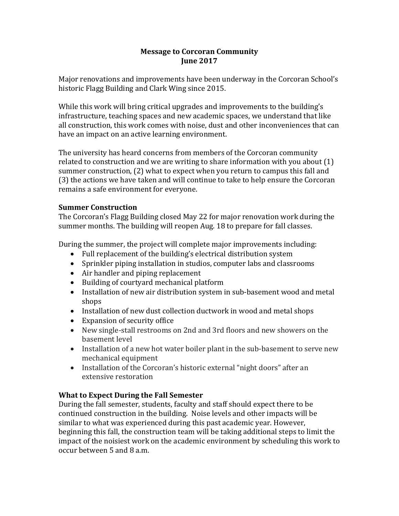## **Message to Corcoran Community June 2017**

Major renovations and improvements have been underway in the Corcoran School's historic Flagg Building and Clark Wing since 2015.

While this work will bring critical upgrades and improvements to the building's infrastructure, teaching spaces and new academic spaces, we understand that like all construction, this work comes with noise, dust and other inconveniences that can have an impact on an active learning environment.

The university has heard concerns from members of the Corcoran community related to construction and we are writing to share information with you about (1) summer construction, (2) what to expect when you return to campus this fall and (3) the actions we have taken and will continue to take to help ensure the Corcoran remains a safe environment for everyone.

## **Summer Construction**

The Corcoran's Flagg Building closed May 22 for major renovation work during the summer months. The building will reopen Aug. 18 to prepare for fall classes.

During the summer, the project will complete major improvements including:

- Full replacement of the building's electrical distribution system
- Sprinkler piping installation in studios, computer labs and classrooms
- Air handler and piping replacement
- Building of courtyard mechanical platform
- Installation of new air distribution system in sub-basement wood and metal shops
- Installation of new dust collection ductwork in wood and metal shops
- Expansion of security office
- New single-stall restrooms on 2nd and 3rd floors and new showers on the basement level
- Installation of a new hot water boiler plant in the sub-basement to serve new mechanical equipment
- Installation of the Corcoran's historic external "night doors" after an extensive restoration

# **What to Expect During the Fall Semester**

During the fall semester, students, faculty and staff should expect there to be continued construction in the building. Noise levels and other impacts will be similar to what was experienced during this past academic year. However, beginning this fall, the construction team will be taking additional steps to limit the impact of the noisiest work on the academic environment by scheduling this work to occur between 5 and 8 a.m.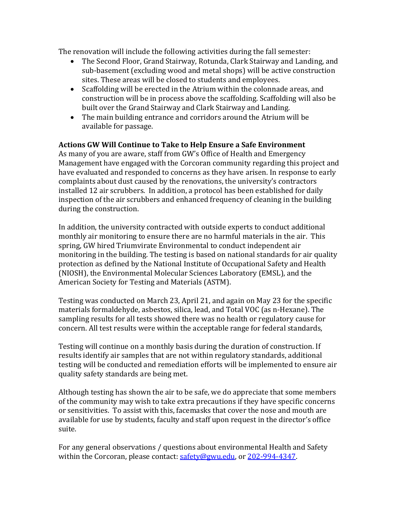The renovation will include the following activities during the fall semester:

- The Second Floor, Grand Stairway, Rotunda, Clark Stairway and Landing, and sub-basement (excluding wood and metal shops) will be active construction sites. These areas will be closed to students and employees.
- Scaffolding will be erected in the Atrium within the colonnade areas, and construction will be in process above the scaffolding. Scaffolding will also be built over the Grand Stairway and Clark Stairway and Landing.
- The main building entrance and corridors around the Atrium will be available for passage.

## **Actions GW Will Continue to Take to Help Ensure a Safe Environment**

As many of you are aware, staff from GW's Office of Health and Emergency Management have engaged with the Corcoran community regarding this project and have evaluated and responded to concerns as they have arisen. In response to early complaints about dust caused by the renovations, the university's contractors installed 12 air scrubbers. In addition, a protocol has been established for daily inspection of the air scrubbers and enhanced frequency of cleaning in the building during the construction.

In addition, the university contracted with outside experts to conduct additional monthly air monitoring to ensure there are no harmful materials in the air. This spring, GW hired Triumvirate Environmental to conduct independent air monitoring in the building. The testing is based on national standards for air quality protection as defined by the National Institute of Occupational Safety and Health (NIOSH), the Environmental Molecular Sciences Laboratory (EMSL), and the American Society for Testing and Materials (ASTM).

Testing was conducted on March 23, April 21, and again on May 23 for the specific materials formaldehyde, asbestos, silica, lead, and Total VOC (as n-Hexane). The sampling results for all tests showed there was no health or regulatory cause for concern. All test results were within the acceptable range for federal standards,

Testing will continue on a monthly basis during the duration of construction. If results identify air samples that are not within regulatory standards, additional testing will be conducted and remediation efforts will be implemented to ensure air quality safety standards are being met.

Although testing has shown the air to be safe, we do appreciate that some members of the community may wish to take extra precautions if they have specific concerns or sensitivities. To assist with this, facemasks that cover the nose and mouth are available for use by students, faculty and staff upon request in the director's office suite.

For any general observations / questions about environmental Health and Safety within the Corcoran, please contact: [safety@gwu.edu,](mailto:safety@gwu.edu) or [202-994-4347.](tel:%28202%29%20994-4347)